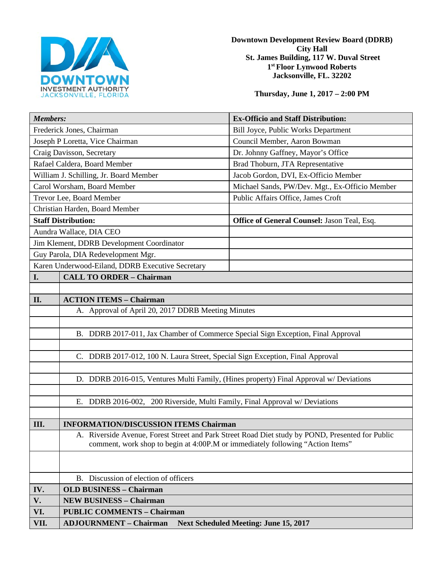

**Downtown Development Review Board (DDRB) City Hall St. James Building, 117 W. Duval Street 1st Floor Lynwood Roberts Jacksonville, FL. 32202** 

**Thursday, June 1, 2017 – 2:00 PM**

| <b>Members:</b>                                  |                                                                                                                                                                                    | <b>Ex-Officio and Staff Distribution:</b>      |
|--------------------------------------------------|------------------------------------------------------------------------------------------------------------------------------------------------------------------------------------|------------------------------------------------|
| Frederick Jones, Chairman                        |                                                                                                                                                                                    | <b>Bill Joyce, Public Works Department</b>     |
| Joseph P Loretta, Vice Chairman                  |                                                                                                                                                                                    | Council Member, Aaron Bowman                   |
| Craig Davisson, Secretary                        |                                                                                                                                                                                    | Dr. Johnny Gaffney, Mayor's Office             |
| Rafael Caldera, Board Member                     |                                                                                                                                                                                    | Brad Thoburn, JTA Representative               |
| William J. Schilling, Jr. Board Member           |                                                                                                                                                                                    | Jacob Gordon, DVI, Ex-Officio Member           |
| Carol Worsham, Board Member                      |                                                                                                                                                                                    | Michael Sands, PW/Dev. Mgt., Ex-Officio Member |
| Trevor Lee, Board Member                         |                                                                                                                                                                                    | Public Affairs Office, James Croft             |
| Christian Harden, Board Member                   |                                                                                                                                                                                    |                                                |
| <b>Staff Distribution:</b>                       |                                                                                                                                                                                    | Office of General Counsel: Jason Teal, Esq.    |
| Aundra Wallace, DIA CEO                          |                                                                                                                                                                                    |                                                |
| Jim Klement, DDRB Development Coordinator        |                                                                                                                                                                                    |                                                |
| Guy Parola, DIA Redevelopment Mgr.               |                                                                                                                                                                                    |                                                |
| Karen Underwood-Eiland, DDRB Executive Secretary |                                                                                                                                                                                    |                                                |
| I.                                               | <b>CALL TO ORDER - Chairman</b>                                                                                                                                                    |                                                |
|                                                  |                                                                                                                                                                                    |                                                |
| II.                                              | <b>ACTION ITEMS - Chairman</b>                                                                                                                                                     |                                                |
|                                                  | A. Approval of April 20, 2017 DDRB Meeting Minutes                                                                                                                                 |                                                |
|                                                  |                                                                                                                                                                                    |                                                |
|                                                  | B. DDRB 2017-011, Jax Chamber of Commerce Special Sign Exception, Final Approval                                                                                                   |                                                |
|                                                  |                                                                                                                                                                                    |                                                |
|                                                  | C. DDRB 2017-012, 100 N. Laura Street, Special Sign Exception, Final Approval                                                                                                      |                                                |
|                                                  |                                                                                                                                                                                    |                                                |
|                                                  | D. DDRB 2016-015, Ventures Multi Family, (Hines property) Final Approval w/ Deviations                                                                                             |                                                |
|                                                  |                                                                                                                                                                                    |                                                |
|                                                  | E. DDRB 2016-002, 200 Riverside, Multi Family, Final Approval w/ Deviations                                                                                                        |                                                |
|                                                  |                                                                                                                                                                                    |                                                |
| III.                                             | <b>INFORMATION/DISCUSSION ITEMS Chairman</b>                                                                                                                                       |                                                |
|                                                  | A. Riverside Avenue, Forest Street and Park Street Road Diet study by POND, Presented for Public<br>comment, work shop to begin at 4:00P.M or immediately following "Action Items" |                                                |
|                                                  |                                                                                                                                                                                    |                                                |
|                                                  |                                                                                                                                                                                    |                                                |
|                                                  | B. Discussion of election of officers                                                                                                                                              |                                                |
| IV.                                              | <b>OLD BUSINESS - Chairman</b>                                                                                                                                                     |                                                |
| V.                                               | <b>NEW BUSINESS - Chairman</b>                                                                                                                                                     |                                                |
| VI.                                              | <b>PUBLIC COMMENTS - Chairman</b>                                                                                                                                                  |                                                |
| VII.                                             | <b>ADJOURNMENT - Chairman</b><br><b>Next Scheduled Meeting: June 15, 2017</b>                                                                                                      |                                                |
|                                                  |                                                                                                                                                                                    |                                                |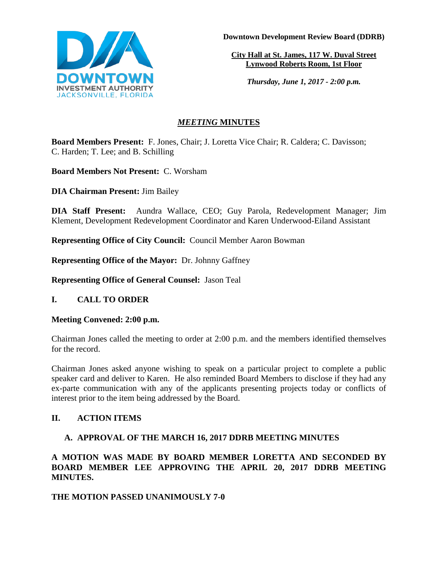

**Downtown Development Review Board (DDRB)**

**City Hall at St. James, 117 W. Duval Street Lynwood Roberts Room, 1st Floor**

*Thursday, June 1, 2017 - 2:00 p.m.*

# *MEETING* **MINUTES**

**Board Members Present:** F. Jones, Chair; J. Loretta Vice Chair; R. Caldera; C. Davisson; C. Harden; T. Lee; and B. Schilling

**Board Members Not Present:** C. Worsham

**DIA Chairman Present:** Jim Bailey

**DIA Staff Present:** Aundra Wallace, CEO; Guy Parola, Redevelopment Manager; Jim Klement, Development Redevelopment Coordinator and Karen Underwood-Eiland Assistant

**Representing Office of City Council:** Council Member Aaron Bowman

**Representing Office of the Mayor:** Dr. Johnny Gaffney

**Representing Office of General Counsel:** Jason Teal

# **I. CALL TO ORDER**

## **Meeting Convened: 2:00 p.m.**

Chairman Jones called the meeting to order at 2:00 p.m. and the members identified themselves for the record.

Chairman Jones asked anyone wishing to speak on a particular project to complete a public speaker card and deliver to Karen. He also reminded Board Members to disclose if they had any ex-parte communication with any of the applicants presenting projects today or conflicts of interest prior to the item being addressed by the Board.

# **II. ACTION ITEMS**

# **A. APPROVAL OF THE MARCH 16, 2017 DDRB MEETING MINUTES**

**A MOTION WAS MADE BY BOARD MEMBER LORETTA AND SECONDED BY BOARD MEMBER LEE APPROVING THE APRIL 20, 2017 DDRB MEETING MINUTES.** 

# **THE MOTION PASSED UNANIMOUSLY 7-0**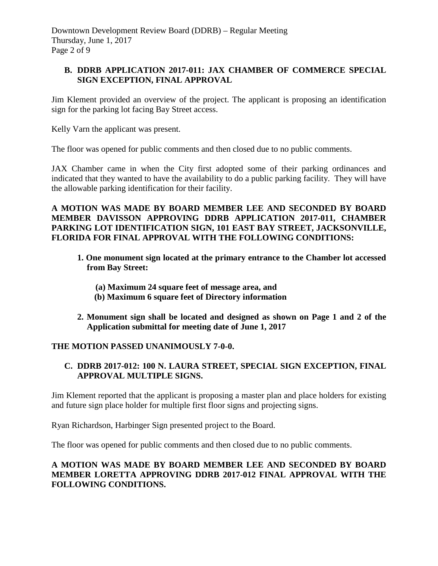Downtown Development Review Board (DDRB) – Regular Meeting Thursday, June 1, 2017 Page 2 of 9

## **B. DDRB APPLICATION 2017-011: JAX CHAMBER OF COMMERCE SPECIAL SIGN EXCEPTION, FINAL APPROVAL**

Jim Klement provided an overview of the project. The applicant is proposing an identification sign for the parking lot facing Bay Street access.

Kelly Varn the applicant was present.

The floor was opened for public comments and then closed due to no public comments.

JAX Chamber came in when the City first adopted some of their parking ordinances and indicated that they wanted to have the availability to do a public parking facility. They will have the allowable parking identification for their facility.

### **A MOTION WAS MADE BY BOARD MEMBER LEE AND SECONDED BY BOARD MEMBER DAVISSON APPROVING DDRB APPLICATION 2017-011, CHAMBER PARKING LOT IDENTIFICATION SIGN, 101 EAST BAY STREET, JACKSONVILLE, FLORIDA FOR FINAL APPROVAL WITH THE FOLLOWING CONDITIONS:**

- **1. One monument sign located at the primary entrance to the Chamber lot accessed from Bay Street:**
	- **(a) Maximum 24 square feet of message area, and**
	- **(b) Maximum 6 square feet of Directory information**
- **2. Monument sign shall be located and designed as shown on Page 1 and 2 of the Application submittal for meeting date of June 1, 2017**

## **THE MOTION PASSED UNANIMOUSLY 7-0-0.**

### **C. DDRB 2017-012: 100 N. LAURA STREET, SPECIAL SIGN EXCEPTION, FINAL APPROVAL MULTIPLE SIGNS.**

Jim Klement reported that the applicant is proposing a master plan and place holders for existing and future sign place holder for multiple first floor signs and projecting signs.

Ryan Richardson, Harbinger Sign presented project to the Board.

The floor was opened for public comments and then closed due to no public comments.

### **A MOTION WAS MADE BY BOARD MEMBER LEE AND SECONDED BY BOARD MEMBER LORETTA APPROVING DDRB 2017-012 FINAL APPROVAL WITH THE FOLLOWING CONDITIONS.**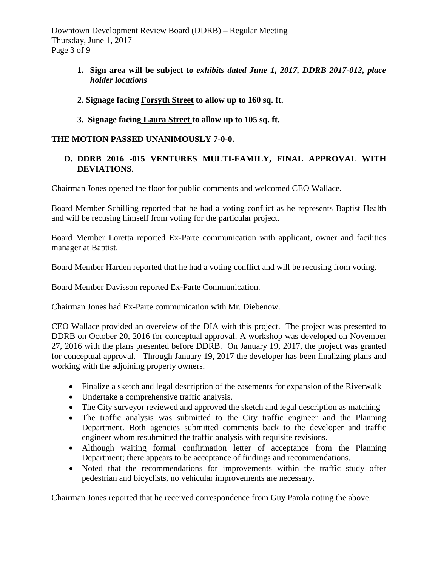Downtown Development Review Board (DDRB) – Regular Meeting Thursday, June 1, 2017 Page 3 of 9

> **1. Sign area will be subject to** *exhibits dated June 1, 2017, DDRB 2017-012, place holder locations*

## **2. Signage facing Forsyth Street to allow up to 160 sq. ft.**

**3. Signage facing Laura Street to allow up to 105 sq. ft.** 

### **THE MOTION PASSED UNANIMOUSLY 7-0-0.**

### **D. DDRB 2016 -015 VENTURES MULTI-FAMILY, FINAL APPROVAL WITH DEVIATIONS.**

Chairman Jones opened the floor for public comments and welcomed CEO Wallace.

Board Member Schilling reported that he had a voting conflict as he represents Baptist Health and will be recusing himself from voting for the particular project.

Board Member Loretta reported Ex-Parte communication with applicant, owner and facilities manager at Baptist.

Board Member Harden reported that he had a voting conflict and will be recusing from voting.

Board Member Davisson reported Ex-Parte Communication.

Chairman Jones had Ex-Parte communication with Mr. Diebenow.

CEO Wallace provided an overview of the DIA with this project. The project was presented to DDRB on October 20, 2016 for conceptual approval. A workshop was developed on November 27, 2016 with the plans presented before DDRB. On January 19, 2017, the project was granted for conceptual approval. Through January 19, 2017 the developer has been finalizing plans and working with the adjoining property owners.

- Finalize a sketch and legal description of the easements for expansion of the Riverwalk
- Undertake a comprehensive traffic analysis.
- The City surveyor reviewed and approved the sketch and legal description as matching
- The traffic analysis was submitted to the City traffic engineer and the Planning Department. Both agencies submitted comments back to the developer and traffic engineer whom resubmitted the traffic analysis with requisite revisions.
- Although waiting formal confirmation letter of acceptance from the Planning Department; there appears to be acceptance of findings and recommendations.
- Noted that the recommendations for improvements within the traffic study offer pedestrian and bicyclists, no vehicular improvements are necessary.

Chairman Jones reported that he received correspondence from Guy Parola noting the above.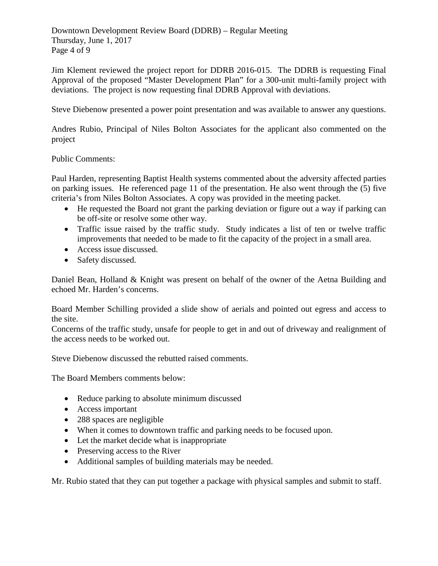Downtown Development Review Board (DDRB) – Regular Meeting Thursday, June 1, 2017 Page 4 of 9

Jim Klement reviewed the project report for DDRB 2016-015. The DDRB is requesting Final Approval of the proposed "Master Development Plan" for a 300-unit multi-family project with deviations. The project is now requesting final DDRB Approval with deviations.

Steve Diebenow presented a power point presentation and was available to answer any questions.

Andres Rubio, Principal of Niles Bolton Associates for the applicant also commented on the project

Public Comments:

Paul Harden, representing Baptist Health systems commented about the adversity affected parties on parking issues. He referenced page 11 of the presentation. He also went through the (5) five criteria's from Niles Bolton Associates. A copy was provided in the meeting packet.

- He requested the Board not grant the parking deviation or figure out a way if parking can be off-site or resolve some other way.
- Traffic issue raised by the traffic study. Study indicates a list of ten or twelve traffic improvements that needed to be made to fit the capacity of the project in a small area.
- Access issue discussed.
- Safety discussed.

Daniel Bean, Holland & Knight was present on behalf of the owner of the Aetna Building and echoed Mr. Harden's concerns.

Board Member Schilling provided a slide show of aerials and pointed out egress and access to the site.

Concerns of the traffic study, unsafe for people to get in and out of driveway and realignment of the access needs to be worked out.

Steve Diebenow discussed the rebutted raised comments.

The Board Members comments below:

- Reduce parking to absolute minimum discussed
- Access important
- 288 spaces are negligible
- When it comes to downtown traffic and parking needs to be focused upon.
- Let the market decide what is inappropriate
- Preserving access to the River
- Additional samples of building materials may be needed.

Mr. Rubio stated that they can put together a package with physical samples and submit to staff.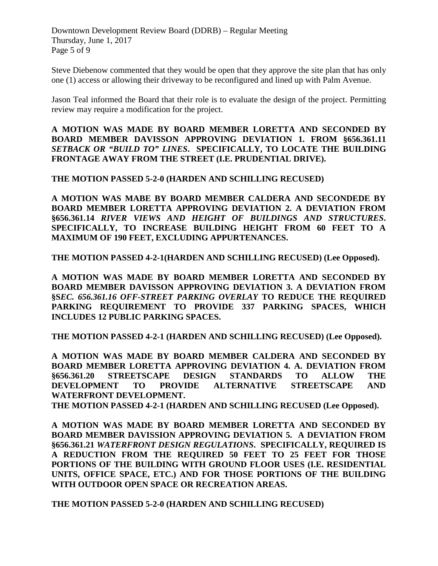Downtown Development Review Board (DDRB) – Regular Meeting Thursday, June 1, 2017 Page 5 of 9

Steve Diebenow commented that they would be open that they approve the site plan that has only one (1) access or allowing their driveway to be reconfigured and lined up with Palm Avenue.

Jason Teal informed the Board that their role is to evaluate the design of the project. Permitting review may require a modification for the project.

**A MOTION WAS MADE BY BOARD MEMBER LORETTA AND SECONDED BY BOARD MEMBER DAVISSON APPROVING DEVIATION 1. FROM §656.361.11**  *SETBACK OR "BUILD TO" LINES***. SPECIFICALLY, TO LOCATE THE BUILDING FRONTAGE AWAY FROM THE STREET (I.E. PRUDENTIAL DRIVE).**

**THE MOTION PASSED 5-2-0 (HARDEN AND SCHILLING RECUSED)** 

**A MOTION WAS MABE BY BOARD MEMBER CALDERA AND SECONDEDE BY BOARD MEMBER LORETTA APPROVING DEVIATION 2. A DEVIATION FROM §656.361.14** *RIVER VIEWS AND HEIGHT OF BUILDINGS AND STRUCTURES***. SPECIFICALLY, TO INCREASE BUILDING HEIGHT FROM 60 FEET TO A MAXIMUM OF 190 FEET, EXCLUDING APPURTENANCES.**

**THE MOTION PASSED 4-2-1(HARDEN AND SCHILLING RECUSED) (Lee Opposed).**

**A MOTION WAS MADE BY BOARD MEMBER LORETTA AND SECONDED BY BOARD MEMBER DAVISSON APPROVING DEVIATION 3. A DEVIATION FROM §S***EC. 656.361.16 OFF-STREET PARKING OVERLAY* **TO REDUCE THE REQUIRED PARKING REQUIREMENT TO PROVIDE 337 PARKING SPACES, WHICH INCLUDES 12 PUBLIC PARKING SPACES.** 

**THE MOTION PASSED 4-2-1 (HARDEN AND SCHILLING RECUSED) (Lee Opposed).**

**A MOTION WAS MADE BY BOARD MEMBER CALDERA AND SECONDED BY BOARD MEMBER LORETTA APPROVING DEVIATION 4. A. DEVIATION FROM §656.361.20 STREETSCAPE DESIGN STANDARDS TO ALLOW THE DEVELOPMENT TO PROVIDE ALTERNATIVE STREETSCAPE AND WATERFRONT DEVELOPMENT.** 

**THE MOTION PASSED 4-2-1 (HARDEN AND SCHILLING RECUSED (Lee Opposed).**

**A MOTION WAS MADE BY BOARD MEMBER LORETTA AND SECONDED BY BOARD MEMBER DAVISSION APPROVING DEVIATION 5. A DEVIATION FROM §656.361.21** *WATERFRONT DESIGN REGULATIONS***. SPECIFICALLY, REQUIRED IS A REDUCTION FROM THE REQUIRED 50 FEET TO 25 FEET FOR THOSE PORTIONS OF THE BUILDING WITH GROUND FLOOR USES (I.E. RESIDENTIAL UNITS, OFFICE SPACE, ETC.) AND FOR THOSE PORTIONS OF THE BUILDING WITH OUTDOOR OPEN SPACE OR RECREATION AREAS.** 

**THE MOTION PASSED 5-2-0 (HARDEN AND SCHILLING RECUSED)**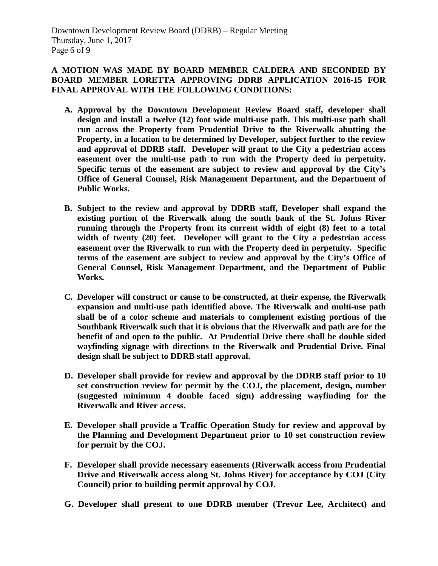## **A MOTION WAS MADE BY BOARD MEMBER CALDERA AND SECONDED BY BOARD MEMBER LORETTA APPROVING DDRB APPLICATION 2016-15 FOR FINAL APPROVAL WITH THE FOLLOWING CONDITIONS:**

- **A. Approval by the Downtown Development Review Board staff, developer shall design and install a twelve (12) foot wide multi-use path. This multi-use path shall run across the Property from Prudential Drive to the Riverwalk abutting the Property, in a location to be determined by Developer, subject further to the review and approval of DDRB staff. Developer will grant to the City a pedestrian access easement over the multi-use path to run with the Property deed in perpetuity. Specific terms of the easement are subject to review and approval by the City's Office of General Counsel, Risk Management Department, and the Department of Public Works.**
- **B. Subject to the review and approval by DDRB staff, Developer shall expand the existing portion of the Riverwalk along the south bank of the St. Johns River running through the Property from its current width of eight (8) feet to a total width of twenty (20) feet. Developer will grant to the City a pedestrian access easement over the Riverwalk to run with the Property deed in perpetuity. Specific terms of the easement are subject to review and approval by the City's Office of General Counsel, Risk Management Department, and the Department of Public Works.**
- **C. Developer will construct or cause to be constructed, at their expense, the Riverwalk expansion and multi-use path identified above. The Riverwalk and multi-use path shall be of a color scheme and materials to complement existing portions of the Southbank Riverwalk such that it is obvious that the Riverwalk and path are for the benefit of and open to the public. At Prudential Drive there shall be double sided wayfinding signage with directions to the Riverwalk and Prudential Drive. Final design shall be subject to DDRB staff approval.**
- **D. Developer shall provide for review and approval by the DDRB staff prior to 10 set construction review for permit by the COJ, the placement, design, number (suggested minimum 4 double faced sign) addressing wayfinding for the Riverwalk and River access.**
- **E. Developer shall provide a Traffic Operation Study for review and approval by the Planning and Development Department prior to 10 set construction review for permit by the COJ.**
- **F. Developer shall provide necessary easements (Riverwalk access from Prudential Drive and Riverwalk access along St. Johns River) for acceptance by COJ (City Council) prior to building permit approval by COJ.**
- **G. Developer shall present to one DDRB member (Trevor Lee, Architect) and**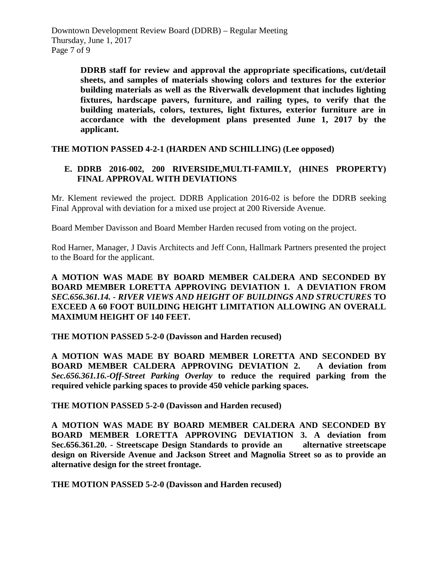**DDRB staff for review and approval the appropriate specifications, cut/detail sheets, and samples of materials showing colors and textures for the exterior building materials as well as the Riverwalk development that includes lighting fixtures, hardscape pavers, furniture, and railing types, to verify that the building materials, colors, textures, light fixtures, exterior furniture are in accordance with the development plans presented June 1, 2017 by the applicant.**

**THE MOTION PASSED 4-2-1 (HARDEN AND SCHILLING) (Lee opposed)**

## **E. DDRB 2016-002, 200 RIVERSIDE,MULTI-FAMILY, (HINES PROPERTY) FINAL APPROVAL WITH DEVIATIONS**

Mr. Klement reviewed the project. DDRB Application 2016-02 is before the DDRB seeking Final Approval with deviation for a mixed use project at 200 Riverside Avenue.

Board Member Davisson and Board Member Harden recused from voting on the project.

Rod Harner, Manager, J Davis Architects and Jeff Conn, Hallmark Partners presented the project to the Board for the applicant.

## **A MOTION WAS MADE BY BOARD MEMBER CALDERA AND SECONDED BY BOARD MEMBER LORETTA APPROVING DEVIATION 1. A DEVIATION FROM**  *SEC.656.361.14. - RIVER VIEWS AND HEIGHT OF BUILDINGS AND STRUCTURES* **TO EXCEED A 60 FOOT BUILDING HEIGHT LIMITATION ALLOWING AN OVERALL MAXIMUM HEIGHT OF 140 FEET.**

**THE MOTION PASSED 5-2-0 (Davisson and Harden recused)** 

**A MOTION WAS MADE BY BOARD MEMBER LORETTA AND SECONDED BY BOARD MEMBER CALDERA APPROVING DEVIATION 2. A deviation from**  *Sec.656.361.16.-Off-Street Parking Overlay* **to reduce the required parking from the required vehicle parking spaces to provide 450 vehicle parking spaces.** 

**THE MOTION PASSED 5-2-0 (Davisson and Harden recused)** 

**A MOTION WAS MADE BY BOARD MEMBER CALDERA AND SECONDED BY BOARD MEMBER LORETTA APPROVING DEVIATION 3. A deviation from Sec.656.361.20. - Streetscape Design Standards to provide an alternative streetscape design on Riverside Avenue and Jackson Street and Magnolia Street so as to provide an alternative design for the street frontage.** 

**THE MOTION PASSED 5-2-0 (Davisson and Harden recused)**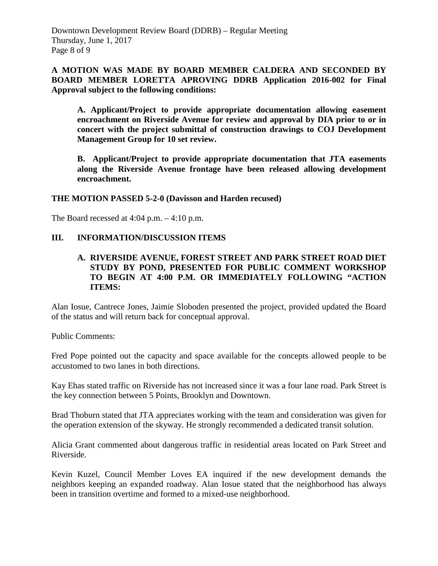## **A MOTION WAS MADE BY BOARD MEMBER CALDERA AND SECONDED BY BOARD MEMBER LORETTA APROVING DDRB Application 2016-002 for Final Approval subject to the following conditions:**

 **A. Applicant/Project to provide appropriate documentation allowing easement encroachment on Riverside Avenue for review and approval by DIA prior to or in concert with the project submittal of construction drawings to COJ Development Management Group for 10 set review.** 

 **B. Applicant/Project to provide appropriate documentation that JTA easements along the Riverside Avenue frontage have been released allowing development encroachment.** 

### **THE MOTION PASSED 5-2-0 (Davisson and Harden recused)**

The Board recessed at  $4:04$  p.m.  $-4:10$  p.m.

### **III. INFORMATION/DISCUSSION ITEMS**

### **A. RIVERSIDE AVENUE, FOREST STREET AND PARK STREET ROAD DIET STUDY BY POND, PRESENTED FOR PUBLIC COMMENT WORKSHOP TO BEGIN AT 4:00 P.M. OR IMMEDIATELY FOLLOWING "ACTION ITEMS:**

Alan Iosue, Cantrece Jones, Jaimie Sloboden presented the project, provided updated the Board of the status and will return back for conceptual approval.

Public Comments:

Fred Pope pointed out the capacity and space available for the concepts allowed people to be accustomed to two lanes in both directions.

Kay Ehas stated traffic on Riverside has not increased since it was a four lane road. Park Street is the key connection between 5 Points, Brooklyn and Downtown.

Brad Thoburn stated that JTA appreciates working with the team and consideration was given for the operation extension of the skyway. He strongly recommended a dedicated transit solution.

Alicia Grant commented about dangerous traffic in residential areas located on Park Street and Riverside.

Kevin Kuzel, Council Member Loves EA inquired if the new development demands the neighbors keeping an expanded roadway. Alan Iosue stated that the neighborhood has always been in transition overtime and formed to a mixed-use neighborhood.